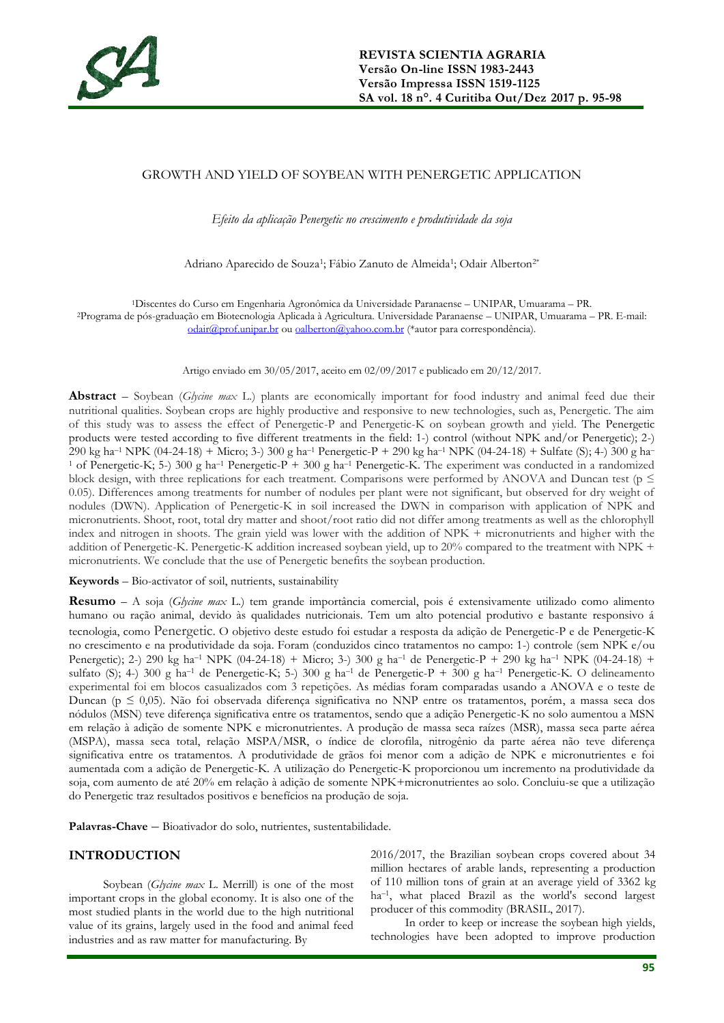

### GROWTH AND YIELD OF SOYBEAN WITH PENERGETIC APPLICATION

*Efeito da aplicação Penergetic no crescimento e produtividade da soja*

Adriano Aparecido de Souza<sup>1</sup>; Fábio Zanuto de Almeida<sup>1</sup>; Odair Alberton<sup>2\*</sup>

<sup>1</sup>Discentes do Curso em Engenharia Agronômica da Universidade Paranaense – UNIPAR, Umuarama – PR. <sup>2</sup>Programa de pós-graduação em Biotecnologia Aplicada à Agricultura. Universidade Paranaense – UNIPAR, Umuarama – PR. E-mail: [odair@prof.unipar.br](mailto:odair@prof.unipar.br) ou [oalberton@yahoo.com.br](mailto:oalberton@yahoo.com.br) (\*autor para correspondência).

Artigo enviado em 30/05/2017, aceito em 02/09/2017 e publicado em 20/12/2017.

**Abstract** – Soybean (*Glycine max* L.) plants are economically important for food industry and animal feed due their nutritional qualities. Soybean crops are highly productive and responsive to new technologies, such as, Penergetic. The aim of this study was to assess the effect of Penergetic-P and Penergetic-K on soybean growth and yield. The Penergetic products were tested according to five different treatments in the field: 1-) control (without NPK and/or Penergetic); 2-) 290 kg ha–<sup>1</sup> NPK (04-24-18) + Micro; 3-) 300 g ha–<sup>1</sup> Penergetic-P + 290 kg ha–<sup>1</sup> NPK (04-24-18) + Sulfate (S); 4-) 300 g ha– <sup>1</sup> of Penergetic-K; 5-) 300 g ha<sup>-1</sup> Penergetic-P + 300 g ha<sup>-1</sup> Penergetic-K. The experiment was conducted in a randomized block design, with three replications for each treatment. Comparisons were performed by ANOVA and Duncan test ( $p \leq$ 0.05). Differences among treatments for number of nodules per plant were not significant, but observed for dry weight of nodules (DWN). Application of Penergetic-K in soil increased the DWN in comparison with application of NPK and micronutrients. Shoot, root, total dry matter and shoot/root ratio did not differ among treatments as well as the chlorophyll index and nitrogen in shoots. The grain yield was lower with the addition of NPK + micronutrients and higher with the addition of Penergetic-K. Penergetic-K addition increased soybean yield, up to 20% compared to the treatment with NPK + micronutrients. We conclude that the use of Penergetic benefits the soybean production.

**Keywords** – Bio-activator of soil, nutrients, sustainability

**Resumo** – A soja (*Glycine max* L.) tem grande importância comercial, pois é extensivamente utilizado como alimento humano ou ração animal, devido às qualidades nutricionais. Tem um alto potencial produtivo e bastante responsivo á tecnologia, como Penergetic. O objetivo deste estudo foi estudar a resposta da adição de Penergetic-P e de Penergetic-K no crescimento e na produtividade da soja. Foram (conduzidos cinco tratamentos no campo: 1-) controle (sem NPK e/ou Penergetic); 2-) 290 kg ha<sup>-1</sup> NPK (04-24-18) + Micro; 3-) 300 g ha<sup>-1</sup> de Penergetic-P + 290 kg ha<sup>-1</sup> NPK (04-24-18) + sulfato (S); 4-) 300 g ha<sup>-1</sup> de Penergetic-K; 5-) 300 g ha<sup>-1</sup> de Penergetic-P + 300 g ha<sup>-1</sup> Penergetic-K. O delineamento experimental foi em blocos casualizados com 3 repetições. As médias foram comparadas usando a ANOVA e o teste de Duncan (p ≤ 0,05). Não foi observada diferença significativa no NNP entre os tratamentos, porém, a massa seca dos nódulos (MSN) teve diferença significativa entre os tratamentos, sendo que a adição Penergetic-K no solo aumentou a MSN em relação à adição de somente NPK e micronutrientes. A produção de massa seca raízes (MSR), massa seca parte aérea (MSPA), massa seca total, relação MSPA/MSR, o índice de clorofila, nitrogênio da parte aérea não teve diferença significativa entre os tratamentos. A produtividade de grãos foi menor com a adição de NPK e micronutrientes e foi aumentada com a adição de Penergetic-K. A utilização do Penergetic-K proporcionou um incremento na produtividade da soja, com aumento de até 20% em relação à adição de somente NPK+micronutrientes ao solo. Concluiu-se que a utilização do Penergetic traz resultados positivos e benefícios na produção de soja.

Palavras-Chave – Bioativador do solo, nutrientes, sustentabilidade.

### **INTRODUCTION**

Soybean (*Glycine max* L. Merrill) is one of the most important crops in the global economy. It is also one of the most studied plants in the world due to the high nutritional value of its grains, largely used in the food and animal feed industries and as raw matter for manufacturing. By

2016/2017, the Brazilian soybean crops covered about 34 million hectares of arable lands, representing a production of 110 million tons of grain at an average yield of 3362 kg ha–<sup>1</sup> , what placed Brazil as the world's second largest producer of this commodity (BRASIL, 2017).

In order to keep or increase the soybean high yields, technologies have been adopted to improve production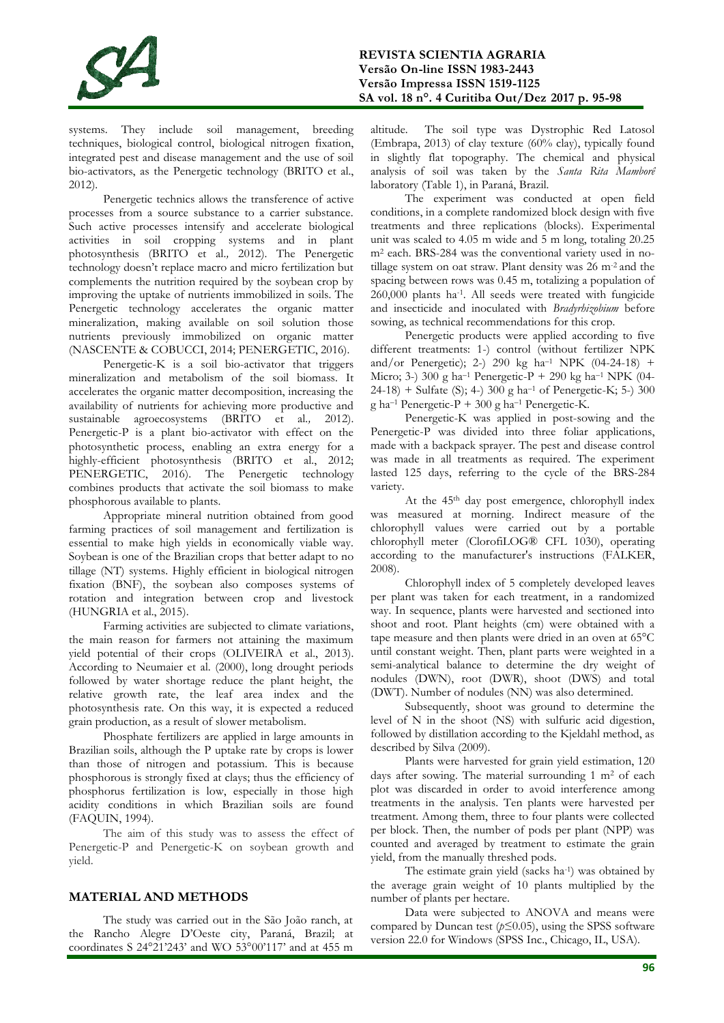

systems. They include soil management, breeding techniques, biological control, biological nitrogen fixation, integrated pest and disease management and the use of soil bio-activators, as the Penergetic technology (BRITO et al., 2012).

Penergetic technics allows the transference of active processes from a source substance to a carrier substance. Such active processes intensify and accelerate biological activities in soil cropping systems and in plant photosynthesis (BRITO et al.*,* 2012). The Penergetic technology doesn't replace macro and micro fertilization but complements the nutrition required by the soybean crop by improving the uptake of nutrients immobilized in soils. The Penergetic technology accelerates the organic matter mineralization, making available on soil solution those nutrients previously immobilized on organic matter (NASCENTE & COBUCCI, 2014; PENERGETIC, 2016).

Penergetic-K is a soil bio-activator that triggers mineralization and metabolism of the soil biomass. It accelerates the organic matter decomposition, increasing the availability of nutrients for achieving more productive and sustainable agroecosystems (BRITO et al.*,* 2012). Penergetic-P is a plant bio-activator with effect on the photosynthetic process, enabling an extra energy for a highly-efficient photosynthesis (BRITO et al., 2012; PENERGETIC, 2016). The Penergetic technology combines products that activate the soil biomass to make phosphorous available to plants.

Appropriate mineral nutrition obtained from good farming practices of soil management and fertilization is essential to make high yields in economically viable way. Soybean is one of the Brazilian crops that better adapt to no tillage (NT) systems. Highly efficient in biological nitrogen fixation (BNF), the soybean also composes systems of rotation and integration between crop and livestock (HUNGRIA et al., 2015).

Farming activities are subjected to climate variations, the main reason for farmers not attaining the maximum yield potential of their crops (OLIVEIRA et al., 2013). According to Neumaier et al. (2000), long drought periods followed by water shortage reduce the plant height, the relative growth rate, the leaf area index and the photosynthesis rate. On this way, it is expected a reduced grain production, as a result of slower metabolism.

Phosphate fertilizers are applied in large amounts in Brazilian soils, although the P uptake rate by crops is lower than those of nitrogen and potassium. This is because phosphorous is strongly fixed at clays; thus the efficiency of phosphorus fertilization is low, especially in those high acidity conditions in which Brazilian soils are found (FAQUIN, 1994).

The aim of this study was to assess the effect of Penergetic-P and Penergetic-K on soybean growth and yield.

# **MATERIAL AND METHODS**

The study was carried out in the São João ranch, at the Rancho Alegre D'Oeste city, Paraná, Brazil; at coordinates S 24°21'243' and WO 53°00'117' and at 455 m

altitude. The soil type was Dystrophic Red Latosol (Embrapa, 2013) of clay texture (60% clay), typically found in slightly flat topography. The chemical and physical analysis of soil was taken by the *Santa Rita Mamborê* laboratory (Table 1), in Paraná, Brazil.

The experiment was conducted at open field conditions, in a complete randomized block design with five treatments and three replications (blocks). Experimental unit was scaled to 4.05 m wide and 5 m long, totaling 20.25 m<sup>2</sup> each. BRS-284 was the conventional variety used in notillage system on oat straw. Plant density was 26 m-2 and the spacing between rows was 0.45 m, totalizing a population of 260,000 plants ha-1 . All seeds were treated with fungicide and insecticide and inoculated with *Bradyrhizobium* before sowing, as technical recommendations for this crop.

Penergetic products were applied according to five different treatments: 1-) control (without fertilizer NPK and/or Penergetic); 2-) 290 kg ha–<sup>1</sup> NPK (04-24-18) + Micro; 3-) 300 g ha<sup>-1</sup> Penergetic-P + 290 kg ha<sup>-1</sup> NPK (04-24-18) + Sulfate (S); 4-) 300 g ha–<sup>1</sup> of Penergetic-K; 5-) 300 g ha<sup>-1</sup> Penergetic-P + 300 g ha<sup>-1</sup> Penergetic-K.

Penergetic-K was applied in post-sowing and the Penergetic-P was divided into three foliar applications, made with a backpack sprayer. The pest and disease control was made in all treatments as required. The experiment lasted 125 days, referring to the cycle of the BRS-284 variety.

At the 45th day post emergence, chlorophyll index was measured at morning. Indirect measure of the chlorophyll values were carried out by a portable chlorophyll meter (ClorofiLOG® CFL 1030), operating according to the manufacturer's instructions (FALKER, 2008).

Chlorophyll index of 5 completely developed leaves per plant was taken for each treatment, in a randomized way. In sequence, plants were harvested and sectioned into shoot and root. Plant heights (cm) were obtained with a tape measure and then plants were dried in an oven at 65°C until constant weight. Then, plant parts were weighted in a semi-analytical balance to determine the dry weight of nodules (DWN), root (DWR), shoot (DWS) and total (DWT). Number of nodules (NN) was also determined.

Subsequently, shoot was ground to determine the level of N in the shoot (NS) with sulfuric acid digestion, followed by distillation according to the Kjeldahl method, as described by Silva (2009).

Plants were harvested for grain yield estimation, 120 days after sowing. The material surrounding 1 m<sup>2</sup> of each plot was discarded in order to avoid interference among treatments in the analysis. Ten plants were harvested per treatment. Among them, three to four plants were collected per block. Then, the number of pods per plant (NPP) was counted and averaged by treatment to estimate the grain yield, from the manually threshed pods.

The estimate grain yield (sacks ha<sup>-1</sup>) was obtained by the average grain weight of 10 plants multiplied by the number of plants per hectare.

Data were subjected to ANOVA and means were compared by Duncan test  $(p \le 0.05)$ , using the SPSS software version 22.0 for Windows (SPSS Inc., Chicago, IL, USA).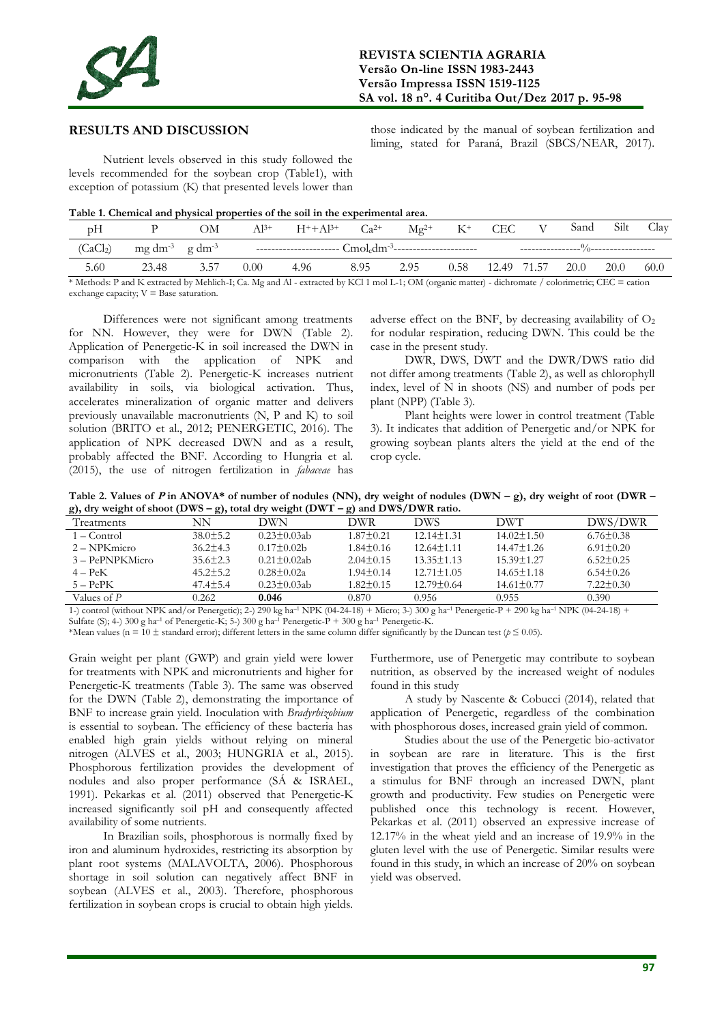

## **RESULTS AND DISCUSSION**

those indicated by the manual of soybean fertilization and liming, stated for Paraná, Brazil (SBCS/NEAR, 2017).

Nutrient levels observed in this study followed the levels recommended for the soybean crop (Table1), with exception of potassium (K) that presented levels lower than

**Table 1. Chemical and physical properties of the soil in the experimental area.**

| (CaCl <sub>2</sub> )<br>$mg \, dm^{-3}$ g dm <sup>-3</sup><br>3.57<br>12.49 71.57<br>20.0<br>5.60<br>0.58<br>8.95<br>20.0<br>23.48<br>2.95<br>$0.00^{\circ}$<br>4.96 | pH | ЭM | $Al^{3+}$ | $H^+ + Al^{3+}$ | $Ca^{2+}$ | $Mg^{2+}$ | $K^+$ | CEC | V | Sand | Silt | Clay |
|----------------------------------------------------------------------------------------------------------------------------------------------------------------------|----|----|-----------|-----------------|-----------|-----------|-------|-----|---|------|------|------|
|                                                                                                                                                                      |    |    |           |                 |           |           |       |     |   |      |      |      |
|                                                                                                                                                                      |    |    |           |                 |           |           |       |     |   |      |      | 60.0 |

\* Methods: P and K extracted by Mehlich-I; Ca. Mg and Al - extracted by KCl 1 mol L-1; OM (organic matter) - dichromate / colorimetric; CEC = cation exchange capacity;  $V =$  Base saturation.

Differences were not significant among treatments for NN. However, they were for DWN (Table 2). Application of Penergetic-K in soil increased the DWN in comparison with the application of NPK and micronutrients (Table 2). Penergetic-K increases nutrient availability in soils, via biological activation. Thus, accelerates mineralization of organic matter and delivers previously unavailable macronutrients (N, P and K) to soil solution (BRITO et al., 2012; PENERGETIC, 2016). The application of NPK decreased DWN and as a result, probably affected the BNF. According to Hungria et al. (2015), the use of nitrogen fertilization in *fabaceae* has

adverse effect on the BNF, by decreasing availability of  $O<sub>2</sub>$ for nodular respiration, reducing DWN. This could be the case in the present study.

DWR, DWS, DWT and the DWR/DWS ratio did not differ among treatments (Table 2), as well as chlorophyll index, level of N in shoots (NS) and number of pods per plant (NPP) (Table 3).

Plant heights were lower in control treatment (Table 3). It indicates that addition of Penergetic and/or NPK for growing soybean plants alters the yield at the end of the crop cycle.

**Table 2. Values of P** in ANOVA\* of number of nodules (NN), dry weight of nodules (DWN  $-$  g), dry weight of root (DWR  $$ **g), dry weight of shoot (DWS – g), total dry weight (DWT – g) and DWS/DWR ratio.**

|                   | ,,,,           |                    |                 |                  |                  |                 |
|-------------------|----------------|--------------------|-----------------|------------------|------------------|-----------------|
| <b>Treatments</b> | NΝ             | ЭWN                | DWR.            | DWS              | <b>DWT</b>       | DWS/DWR         |
| $1 -$ Control     | $38.0 \pm 5.2$ | $0.23 \pm 0.03$ ab | $1.87 \pm 0.21$ | $12.14 \pm 1.31$ | $14.02 \pm 1.50$ | $6.76 \pm 0.38$ |
| 2 – NPKmicro      | $36.2 \pm 4.3$ | $0.17 \pm 0.02 b$  | $1.84 \pm 0.16$ | $12.64 \pm 1.11$ | $14.47 \pm 1.26$ | $6.91 \pm 0.20$ |
| 3 – PePNPKMicro   | $35.6 \pm 2.3$ | $0.21 \pm 0.02$ ab | $2.04 \pm 0.15$ | $13.35 \pm 1.13$ | $15.39 \pm 1.27$ | $6.52 \pm 0.25$ |
| $4 - PeK$         | $45.2 \pm 5.2$ | $0.28 \pm 0.02a$   | $1.94 \pm 0.14$ | $12.71 \pm 1.05$ | $14.65 \pm 1.18$ | $6.54 \pm 0.26$ |
| $5 - PePK$        | $47.4 \pm 5.4$ | $0.23 \pm 0.03$ ab | $1.82 \pm 0.15$ | $12.79 \pm 0.64$ | $14.61 \pm 0.77$ | $7.22 \pm 0.30$ |
| Values of P       | 0.262          | 0.046              | 0.870.          | 0.956            | 0.955            | 0.390           |

1-) control (without NPK and/or Penergetic); 2-) 290 kg ha–<sup>1</sup> NPK (04-24-18) + Micro; 3-) 300 g ha–<sup>1</sup> Penergetic-P + 290 kg ha–<sup>1</sup> NPK (04-24-18) + Sulfate (S); 4-) 300 g ha<sup>-1</sup> of Penergetic-K; 5-) 300 g ha<sup>-1</sup> Penergetic-P + 300 g ha<sup>-1</sup> Penergetic-K.

\*Mean values (n = 10  $\pm$  standard error); different letters in the same column differ significantly by the Duncan test ( $p \le 0.05$ ).

Grain weight per plant (GWP) and grain yield were lower for treatments with NPK and micronutrients and higher for Penergetic-K treatments (Table 3). The same was observed for the DWN (Table 2), demonstrating the importance of BNF to increase grain yield. Inoculation with *Bradyrhizobium* is essential to soybean. The efficiency of these bacteria has enabled high grain yields without relying on mineral nitrogen (ALVES et al., 2003; HUNGRIA et al., 2015). Phosphorous fertilization provides the development of nodules and also proper performance (SÁ & ISRAEL, 1991). Pekarkas et al. (2011) observed that Penergetic-K increased significantly soil pH and consequently affected availability of some nutrients.

In Brazilian soils, phosphorous is normally fixed by iron and aluminum hydroxides, restricting its absorption by plant root systems (MALAVOLTA, 2006). Phosphorous shortage in soil solution can negatively affect BNF in soybean (ALVES et al., 2003). Therefore, phosphorous fertilization in soybean crops is crucial to obtain high yields. Furthermore, use of Penergetic may contribute to soybean nutrition, as observed by the increased weight of nodules found in this study

A study by Nascente & Cobucci (2014), related that application of Penergetic, regardless of the combination with phosphorous doses, increased grain yield of common.

Studies about the use of the Penergetic bio-activator in soybean are rare in literature. This is the first investigation that proves the efficiency of the Penergetic as a stimulus for BNF through an increased DWN, plant growth and productivity. Few studies on Penergetic were published once this technology is recent. However, Pekarkas et al. (2011) observed an expressive increase of 12.17% in the wheat yield and an increase of 19.9% in the gluten level with the use of Penergetic. Similar results were found in this study, in which an increase of 20% on soybean yield was observed.